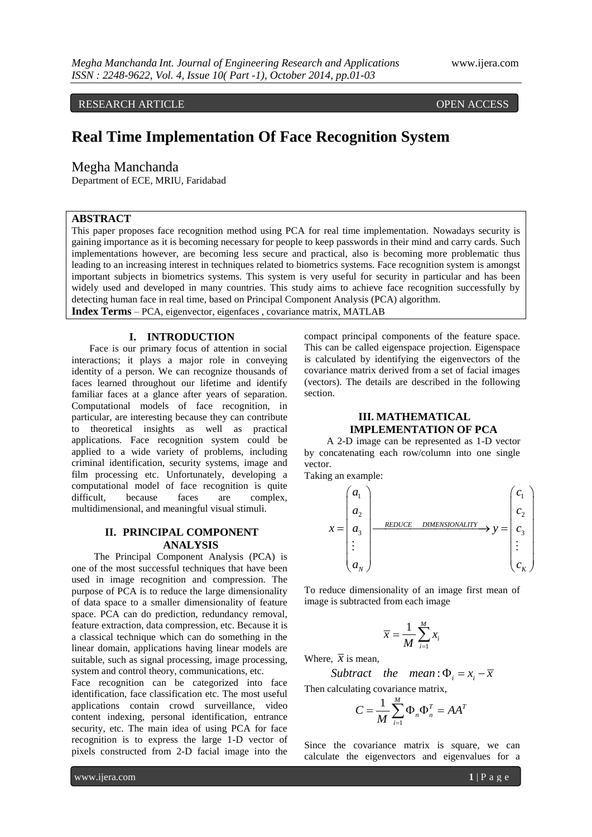RESEARCH ARTICLE OPEN ACCESS

# **Real Time Implementation Of Face Recognition System**

Megha Manchanda

Department of ECE, MRIU, Faridabad

### **ABSTRACT**

This paper proposes face recognition method using PCA for real time implementation. Nowadays security is gaining importance as it is becoming necessary for people to keep passwords in their mind and carry cards. Such implementations however, are becoming less secure and practical, also is becoming more problematic thus leading to an increasing interest in techniques related to biometrics systems. Face recognition system is amongst important subjects in biometrics systems. This system is very useful for security in particular and has been widely used and developed in many countries. This study aims to achieve face recognition successfully by detecting human face in real time, based on Principal Component Analysis (PCA) algorithm. **Index Terms** – PCA, eigenvector, eigenfaces , covariance matrix, MATLAB

#### **I. INTRODUCTION**

Face is our primary focus of attention in social interactions; it plays a major role in conveying identity of a person. We can recognize thousands of faces learned throughout our lifetime and identify familiar faces at a glance after years of separation. Computational models of face recognition, in particular, are interesting because they can contribute to theoretical insights as well as practical applications. Face recognition system could be applied to a wide variety of problems, including criminal identification, security systems, image and film processing etc. Unfortunately, developing a computational model of face recognition is quite difficult, because faces are complex, multidimensional, and meaningful visual stimuli.

## **II. PRINCIPAL COMPONENT ANALYSIS**

The Principal Component Analysis (PCA) is one of the most successful techniques that have been used in image recognition and compression. The purpose of PCA is to reduce the large dimensionality of data space to a smaller dimensionality of feature space. PCA can do prediction, redundancy removal, feature extraction, data compression, etc. Because it is a classical technique which can do something in the linear domain, applications having linear models are suitable, such as signal processing, image processing, system and control theory, communications, etc.

Face recognition can be categorized into face identification, face classification etc. The most useful applications contain crowd surveillance, video content indexing, personal identification, entrance security, etc. The main idea of using PCA for face recognition is to express the large 1-D vector of pixels constructed from 2-D facial image into the compact principal components of the feature space. This can be called eigenspace projection. Eigenspace is calculated by identifying the eigenvectors of the covariance matrix derived from a set of facial images (vectors). The details are described in the following section.

# **III. MATHEMATICAL IMPLEMENTATION OF PCA**

A 2-D image can be represented as 1-D vector by concatenating each row/column into one single vector.

Taking an example:

$$
x = \begin{pmatrix} a_1 \\ a_2 \\ a_3 \\ \vdots \\ a_N \end{pmatrix} \xrightarrow{\text{REDUCE} \quad \text{DIMENSIONALITY}} y = \begin{pmatrix} c_1 \\ c_2 \\ c_3 \\ \vdots \\ c_K \end{pmatrix}
$$

To reduce dimensionality of an image first mean of image is subtracted from each image

$$
\overline{x} = \frac{1}{M} \sum_{i=1}^{M} x_i
$$

Where,  $\bar{x}$  is mean,

,  $\overline{x}$  is mean,<br>*Subtract the mean* :  $\Phi_i = x_i - \overline{x}$ 

Then calculating covariance matrix,

$$
C = \frac{1}{M} \sum_{i=1}^{M} \Phi_n \Phi_n^T = AA^T
$$

Since the covariance matrix is square, we can calculate the eigenvectors and eigenvalues for a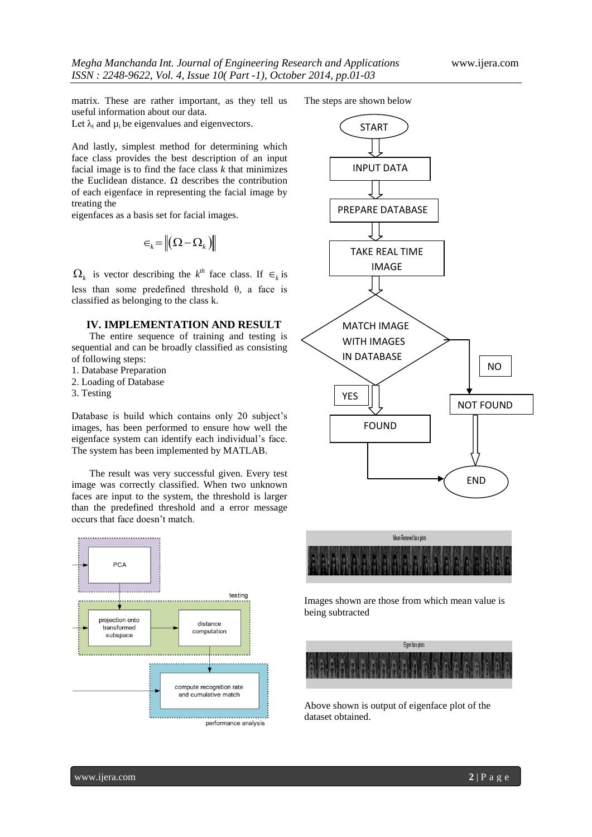matrix. These are rather important, as they tell us useful information about our data. Let  $\lambda_i$  and  $\mu_i$  be eigenvalues and eigenvectors.

And lastly, simplest method for determining which face class provides the best description of an input facial image is to find the face class *k* that minimizes the Euclidean distance.  $\Omega$  describes the contribution of each eigenface in representing the facial image by treating the

eigenfaces as a basis set for facial images.

$$
\in _{k}=\left\Vert {\left( \Omega -\Omega _{k}\right) }\right\Vert
$$

 $\Omega_k$  is vector describing the  $k^{th}$  face class. If  $\epsilon_k$  is less than some predefined threshold θ, a face is classified as belonging to the class k.

# **IV. IMPLEMENTATION AND RESULT**

The entire sequence of training and testing is sequential and can be broadly classified as consisting of following steps:

- 1. Database Preparation
- 2. Loading of Database
- 3. Testing

Database is build which contains only 20 subject's images, has been performed to ensure how well the eigenface system can identify each individual's face. The system has been implemented by MATLAB.

The result was very successful given. Every test image was correctly classified. When two unknown faces are input to the system, the threshold is larger than the predefined threshold and a error message occurs that face doesn't match.



The steps are shown below





Images shown are those from which mean value is being subtracted



Above shown is output of eigenface plot of the dataset obtained.